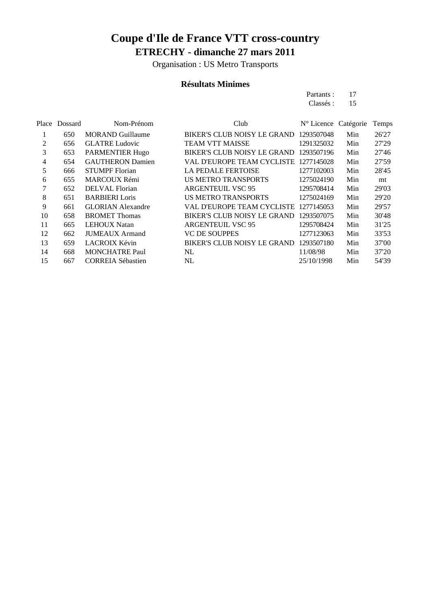Organisation : US Metro Transports

### **Résultats Minimes**

| Partants: | 17 |
|-----------|----|
| Classés : | 15 |

| Place | Dossard | Nom-Prénom               | Club                                  | N° Licence Catégorie |     | Temps |
|-------|---------|--------------------------|---------------------------------------|----------------------|-----|-------|
|       | 650     | <b>MORAND Guillaume</b>  | <b>BIKER'S CLUB NOISY LE GRAND</b>    | 1293507048           | Min | 26'27 |
| 2     | 656     | <b>GLATRE Ludovic</b>    | <b>TEAM VTT MAISSE</b>                | 1291325032           | Min | 27'29 |
| 3     | 653     | PARMENTIER Hugo          | BIKER'S CLUB NOISY LE GRAND           | 1293507196           | Min | 27'46 |
| 4     | 654     | <b>GAUTHERON Damien</b>  | VAL D'EUROPE TEAM CYCLISTE 1277145028 |                      | Min | 27'59 |
| 5     | 666     | <b>STUMPF Florian</b>    | LA PEDALE FERTOISE                    | 1277102003           | Min | 28'45 |
| 6     | 655     | <b>MARCOUX Rémi</b>      | <b>US METRO TRANSPORTS</b>            | 1275024190           | Min | mt    |
|       | 652     | DELVAL Florian           | <b>ARGENTEUIL VSC 95</b>              | 1295708414           | Min | 29'03 |
| 8     | 651     | <b>BARBIERI</b> Loris    | <b>US METRO TRANSPORTS</b>            | 1275024169           | Min | 29'20 |
| 9     | 661     | <b>GLORIAN Alexandre</b> | VAL D'EUROPE TEAM CYCLISTE 1277145053 |                      | Min | 29'57 |
| 10    | 658     | <b>BROMET Thomas</b>     | <b>BIKER'S CLUB NOISY LE GRAND</b>    | 1293507075           | Min | 30'48 |
| 11    | 665     | <b>LEHOUX Natan</b>      | <b>ARGENTEUIL VSC 95</b>              | 1295708424           | Min | 31'25 |
| 12    | 662     | <b>JUMEAUX</b> Armand    | <b>VC DE SOUPPES</b>                  | 1277123063           | Min | 33'53 |
| 13    | 659     | <b>LACROIX Kévin</b>     | BIKER'S CLUB NOISY LE GRAND           | 1293507180           | Min | 37'00 |
| 14    | 668     | <b>MONCHATRE Paul</b>    | NL                                    | 11/08/98             | Min | 37'20 |
| 15    | 667     | <b>CORREIA Sébastien</b> | NL                                    | 25/10/1998           | Min | 54'39 |
|       |         |                          |                                       |                      |     |       |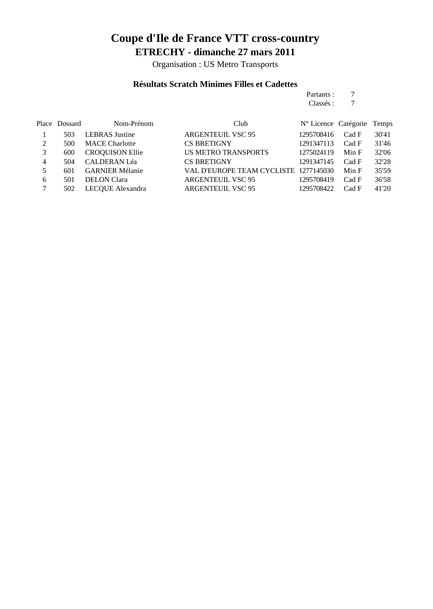Organisation : US Metro Transports

#### **Résultats Scratch Minimes Filles et Cadettes**

#### Partants : 7<br>Classés : 7 Classés : 7

|   | Place Dossard | Nom-Prénom             | Club                                  | N° Licence Catégorie Temps |       |       |
|---|---------------|------------------------|---------------------------------------|----------------------------|-------|-------|
|   | 503           | <b>LEBRAS</b> Justine  | <b>ARGENTEUIL VSC 95</b>              | 1295708416                 | Cad F | 30'41 |
| 2 | 500           | <b>MACE Charlotte</b>  | <b>CS BRETIGNY</b>                    | 1291347113                 | Cad F | 31'46 |
|   | 600           | <b>CROQUISON Ellie</b> | <b>US METRO TRANSPORTS</b>            | 1275024119                 | Min F | 32'06 |
| 4 | 504           | <b>CALDERAN Léa</b>    | <b>CS BRETIGNY</b>                    | 1291347145                 | Cad F | 32'28 |
|   | 601           | <b>GARNIER Mélanie</b> | VAL D'EUROPE TEAM CYCLISTE 1277145030 |                            | Min F | 35'59 |
| 6 | 501           | <b>DELON</b> Clara     | <b>ARGENTEUIL VSC 95</b>              | 1295708419                 | Cad F | 36'58 |
|   | 502           | LECOUE Alexandra       | <b>ARGENTEUIL VSC 95</b>              | 1295708422                 | Cad F | 41'20 |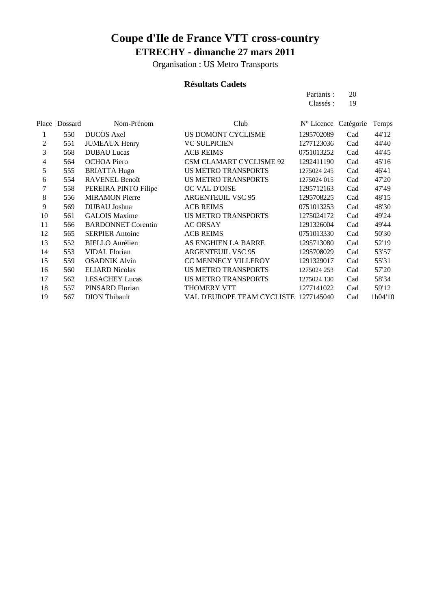Organisation : US Metro Transports

### **Résultats Cadets**

| Partants: | 20 |
|-----------|----|
| Classés : | 19 |

|    | Place Dossard | Nom-Prénom                | Club                           | N° Licence Catégorie |     | Temps   |
|----|---------------|---------------------------|--------------------------------|----------------------|-----|---------|
|    | 550           | <b>DUCOS</b> Axel         | US DOMONT CYCLISME             | 1295702089           | Cad | 44'12   |
| 2  | 551           | <b>JUMEAUX Henry</b>      | <b>VC SULPICIEN</b>            | 1277123036           | Cad | 44'40   |
| 3  | 568           | <b>DUBAU Lucas</b>        | <b>ACB REIMS</b>               | 0751013252           | Cad | 44'45   |
| 4  | 564           | <b>OCHOA Piero</b>        | <b>CSM CLAMART CYCLISME 92</b> | 1292411190           | Cad | 45'16   |
| 5  | 555           | <b>BRIATTA Hugo</b>       | <b>US METRO TRANSPORTS</b>     | 1275024 245          | Cad | 46'41   |
| 6  | 554           | <b>RAVENEL Benoît</b>     | <b>US METRO TRANSPORTS</b>     | 1275024 015          | Cad | 47'20   |
|    | 558           | PEREIRA PINTO Filipe      | OC VAL D'OISE                  | 1295712163           | Cad | 47'49   |
| 8  | 556           | <b>MIRAMON Pierre</b>     | <b>ARGENTEUIL VSC 95</b>       | 1295708225           | Cad | 48'15   |
| 9  | 569           | DUBAU Joshua              | <b>ACB REIMS</b>               | 0751013253           | Cad | 48'30   |
| 10 | 561           | <b>GALOIS Maxime</b>      | <b>US METRO TRANSPORTS</b>     | 1275024172           | Cad | 49'24   |
| 11 | 566           | <b>BARDONNET</b> Corentin | <b>AC ORSAY</b>                | 1291326004           | Cad | 49'44   |
| 12 | 565           | <b>SERPIER Antoine</b>    | <b>ACB REIMS</b>               | 0751013330           | Cad | 50'30   |
| 13 | 552           | <b>BIELLO</b> Aurélien    | AS ENGHIEN LA BARRE            | 1295713080           | Cad | 52'19   |
| 14 | 553           | <b>VIDAL Florian</b>      | <b>ARGENTEUIL VSC 95</b>       | 1295708029           | Cad | 53'57   |
| 15 | 559           | <b>OSADNIK Alvin</b>      | CC MENNECY VILLEROY            | 1291329017           | Cad | 55'31   |
| 16 | 560           | <b>ELIARD Nicolas</b>     | <b>US METRO TRANSPORTS</b>     | 1275024 253          | Cad | 57'20   |
| 17 | 562           | <b>LESACHEY Lucas</b>     | <b>US METRO TRANSPORTS</b>     | 1275024 130          | Cad | 58'34   |
| 18 | 557           | PINSARD Florian           | THOMERY VTT                    | 1277141022           | Cad | 59'12   |
| 19 | 567           | <b>DION</b> Thibault      | VAL D'EUROPE TEAM CYCLISTE     | 1277145040           | Cad | 1h04'10 |
|    |               |                           |                                |                      |     |         |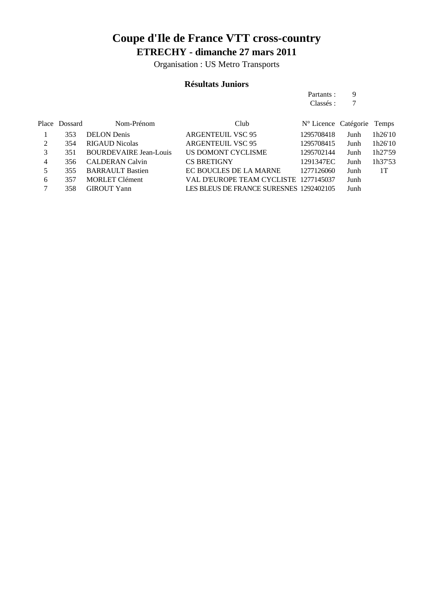Organisation : US Metro Transports

### **Résultats Juniors**

Partants : 9

|   |               |                               |                                         | Classés :                  |      |         |
|---|---------------|-------------------------------|-----------------------------------------|----------------------------|------|---------|
|   | Place Dossard | Nom-Prénom                    | Club                                    | N° Licence Catégorie Temps |      |         |
|   | 353           | <b>DELON</b> Denis            | <b>ARGENTEUIL VSC 95</b>                | 1295708418                 | Junh | 1h26'10 |
| 2 | 354           | <b>RIGAUD Nicolas</b>         | <b>ARGENTEUIL VSC 95</b>                | 1295708415                 | Junh | 1h26'10 |
| 3 | 351           | <b>BOURDEVAIRE Jean-Louis</b> | US DOMONT CYCLISME                      | 1295702144                 | Junh | 1h27'59 |
| 4 | 356           | <b>CALDERAN Calvin</b>        | <b>CS BRETIGNY</b>                      | 1291347EC                  | Junh | 1h37'53 |
| 5 | 355           | <b>BARRAULT Bastien</b>       | EC BOUCLES DE LA MARNE                  | 1277126060                 | Junh | 1T      |
| 6 | 357           | <b>MORLET</b> Clément         | VAL D'EUROPE TEAM CYCLISTE 1277145037   |                            | Junh |         |
|   | 358           | <b>GIROUT Yann</b>            | LES BLEUS DE FRANCE SURESNES 1292402105 |                            | Junh |         |
|   |               |                               |                                         |                            |      |         |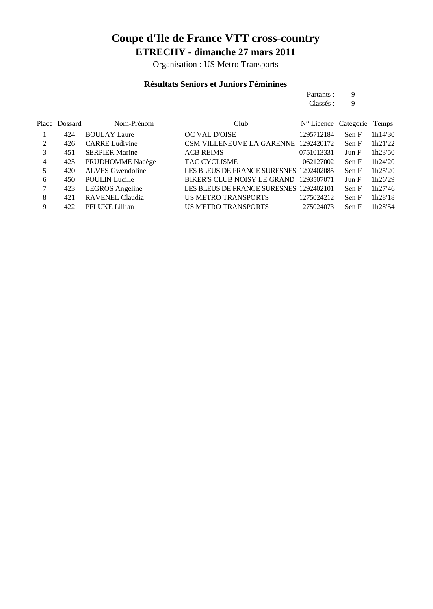Organisation : US Metro Transports

#### **Résultats Seniors et Juniors Féminines**

Partants : 9<br>Classés : 9  $\mathop{\rm Class\'es}\nolimits$  :

|   | Place Dossard | Nom-Prénom              | Club                                    | N° Licence Catégorie Temps |       |         |
|---|---------------|-------------------------|-----------------------------------------|----------------------------|-------|---------|
|   | 424           | <b>BOULAY Laure</b>     | <b>OC VAL D'OISE</b>                    | 1295712184                 | Sen F | 1h14'30 |
| 2 | 426           | <b>CARRE Ludivine</b>   | CSM VILLENEUVE LA GARENNE 1292420172    |                            | Sen F | 1h21'22 |
| 3 | 451           | <b>SERPIER Marine</b>   | <b>ACB REIMS</b>                        | 0751013331                 | Jun F | 1h23'50 |
| 4 | 425           | PRUDHOMME Nadège        | TAC CYCLISME                            | 1062127002                 | Sen F | 1h24'20 |
| 5 | 420           | <b>ALVES</b> Gwendoline | LES BLEUS DE FRANCE SURESNES 1292402085 |                            | Sen F | 1h25'20 |
| 6 | 450           | <b>POULIN</b> Lucille   | BIKER'S CLUB NOISY LE GRAND 1293507071  |                            | Jun F | 1h26'29 |
|   | 423           | <b>LEGROS</b> Angeline  | LES BLEUS DE FRANCE SURESNES 1292402101 |                            | Sen F | 1h27'46 |
| 8 | 421           | <b>RAVENEL Claudia</b>  | US METRO TRANSPORTS                     | 1275024212                 | Sen F | 1h28'18 |
| 9 | 422           | PFLUKE Lillian          | US METRO TRANSPORTS                     | 1275024073                 | Sen F | 1h28'54 |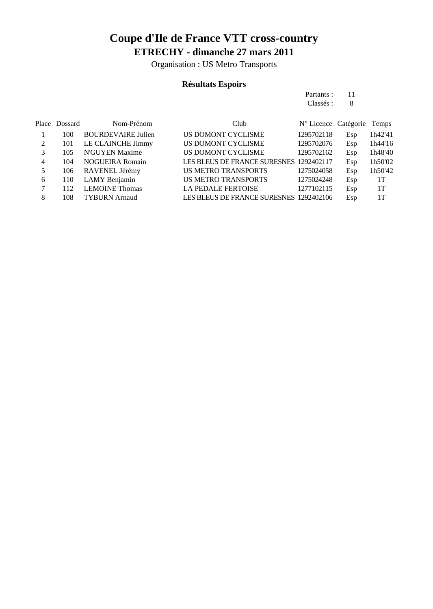Organisation : US Metro Transports

### **Résultats Espoirs**

| Partants: | 11 |
|-----------|----|
| Classés : | 8  |

|   | Place Dossard | Nom-Prénom                | Club                                    | N° Licence Catégorie Temps |     |         |
|---|---------------|---------------------------|-----------------------------------------|----------------------------|-----|---------|
|   | 100           | <b>BOURDEVAIRE Julien</b> | US DOMONT CYCLISME                      | 1295702118                 | Esp | 1h42'41 |
| 2 | 101           | LE CLAINCHE Jimmy         | US DOMONT CYCLISME                      | 1295702076                 | Esp | 1h44'16 |
|   | 105           | N'GUYEN Maxime            | US DOMONT CYCLISME                      | 1295702162                 | Esp | 1h48'40 |
| 4 | 104           | <b>NOGUEIRA Romain</b>    | LES BLEUS DE FRANCE SURESNES 1292402117 |                            | Esp | 1h50'02 |
| 5 | 106           | RAVENEL Jérémy            | US METRO TRANSPORTS                     | 1275024058                 | Esp | 1h50'42 |
| 6 | 110           | LAMY Benjamin             | <b>US METRO TRANSPORTS</b>              | 1275024248                 | Esp | 1T      |
|   | 112           | <b>LEMOINE Thomas</b>     | <b>LA PEDALE FERTOISE</b>               | 1277102115                 | Esp | 1T      |
| 8 | 108           | <b>TYBURN</b> Arnaud      | LES BLEUS DE FRANCE SURESNES 1292402106 |                            | Esp | 1T      |
|   |               |                           |                                         |                            |     |         |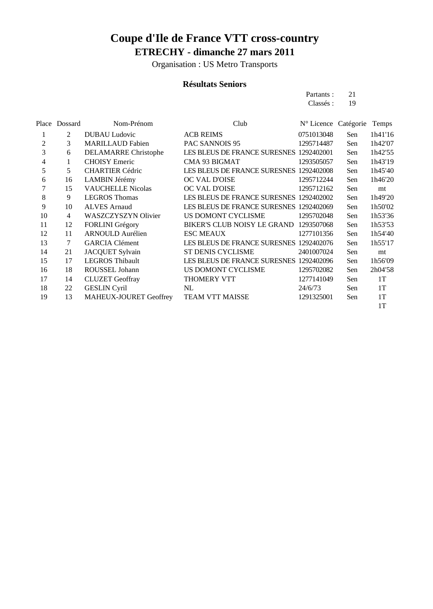Organisation : US Metro Transports

### **Résultats Seniors**

| Partants: | 21 |
|-----------|----|
| Classés : | 19 |

|    | Place Dossard | Nom-Prénom                    | Club                                    | N° Licence Catégorie |     | Temps   |
|----|---------------|-------------------------------|-----------------------------------------|----------------------|-----|---------|
|    | 2             | <b>DUBAU Ludovic</b>          | <b>ACB REIMS</b>                        | 0751013048           | Sen | 1h41'16 |
| 2  | 3             | <b>MARILLAUD Fabien</b>       | PAC SANNOIS 95                          | 1295714487           | Sen | 1h42'07 |
| 3  | 6             | DELAMARRE Christophe          | LES BLEUS DE FRANCE SURESNES 1292402001 |                      | Sen | 1h42'55 |
| 4  |               | <b>CHOISY</b> Emeric          | CMA 93 BIGMAT                           | 1293505057           | Sen | 1h43'19 |
| 5  | 5.            | <b>CHARTIER Cédric</b>        | LES BLEUS DE FRANCE SURESNES 1292402008 |                      | Sen | 1h45'40 |
| 6  | 16            | LAMBIN Jérémy                 | <b>OC VAL D'OISE</b>                    | 1295712244           | Sen | 1h46'20 |
| 7  | 15            | <b>VAUCHELLE Nicolas</b>      | OC VAL D'OISE                           | 1295712162           | Sen | mt      |
| 8  | 9             | <b>LEGROS</b> Thomas          | LES BLEUS DE FRANCE SURESNES 1292402002 |                      | Sen | 1h49'20 |
| 9  | 10            | <b>ALVES</b> Arnaud           | LES BLEUS DE FRANCE SURESNES 1292402069 |                      | Sen | 1h50'02 |
| 10 | 4             | <b>WASZCZYSZYN Olivier</b>    | US DOMONT CYCLISME                      | 1295702048           | Sen | 1h53'36 |
| 11 | 12            | <b>FORLINI</b> Grégory        | BIKER'S CLUB NOISY LE GRAND 1293507068  |                      | Sen | 1h53'53 |
| 12 | 11            | <b>ARNOULD</b> Aurélien       | <b>ESC MEAUX</b>                        | 1277101356           | Sen | 1h54'40 |
| 13 | 7             | <b>GARCIA Clément</b>         | LES BLEUS DE FRANCE SURESNES 1292402076 |                      | Sen | 1h55'17 |
| 14 | 21            | JACQUET Sylvain               | <b>ST DENIS CYCLISME</b>                | 2401007024           | Sen | mt      |
| 15 | 17            | <b>LEGROS Thibault</b>        | LES BLEUS DE FRANCE SURESNES 1292402096 |                      | Sen | 1h56'09 |
| 16 | 18            | ROUSSEL Johann                | US DOMONT CYCLISME                      | 1295702082           | Sen | 2h04'58 |
| 17 | 14            | <b>CLUZET</b> Geoffray        | <b>THOMERY VTT</b>                      | 1277141049           | Sen | 1T      |
| 18 | 22            | <b>GESLIN Cyril</b>           | NL                                      | 24/6/73              | Sen | 1T      |
| 19 | 13            | <b>MAHEUX-JOURET Geoffrey</b> | TEAM VTT MAISSE                         | 1291325001           | Sen | 1T      |
|    |               |                               |                                         |                      |     | 1T      |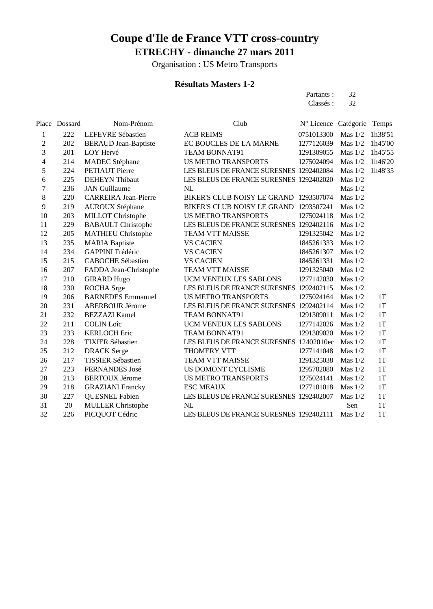Organisation : US Metro Transports

### **Résultats Masters 1-2**

| Partants: | 32 |
|-----------|----|
| Classés : | 32 |

|                         | Place Dossard | Nom-Prénom                  | Club                                    | N° Licence Catégorie |           | Temps   |
|-------------------------|---------------|-----------------------------|-----------------------------------------|----------------------|-----------|---------|
| 1                       | 222           | LEFEVRE Sébastien           | <b>ACB REIMS</b>                        | 0751013300           | Mas $1/2$ | 1h38'51 |
| $\overline{c}$          | 202           | <b>BERAUD</b> Jean-Baptiste | EC BOUCLES DE LA MARNE                  | 1277126039           | Mas $1/2$ | 1h45'00 |
| 3                       | 201           | LOY Hervé                   | <b>TEAM BONNAT91</b>                    | 1291309055           | Mas $1/2$ | 1h45'55 |
| $\overline{\mathbf{4}}$ | 214           | <b>MADEC</b> Stéphane       | <b>US METRO TRANSPORTS</b>              | 1275024094           | Mas $1/2$ | 1h46'20 |
| 5                       | 224           | <b>PETIAUT</b> Pierre       | LES BLEUS DE FRANCE SURESNES 1292402084 |                      | Mas $1/2$ | 1h48'35 |
| 6                       | 225           | <b>DEHEYN</b> Thibaut       | LES BLEUS DE FRANCE SURESNES 1292402020 |                      | Mas $1/2$ |         |
| 7                       | 236           | <b>JAN</b> Guillaume        | NL                                      |                      | Mas $1/2$ |         |
| 8                       | 220           | <b>CARREIRA</b> Jean-Pierre | BIKER'S CLUB NOISY LE GRAND 1293507074  |                      | Mas $1/2$ |         |
| 9                       | 219           | <b>AUROUX Stéphane</b>      | BIKER'S CLUB NOISY LE GRAND             | 1293507241           | Mas $1/2$ |         |
| 10                      | 203           | <b>MILLOT</b> Christophe    | <b>US METRO TRANSPORTS</b>              | 1275024118           | Mas $1/2$ |         |
| 11                      | 229           | <b>BABAULT</b> Christophe   | LES BLEUS DE FRANCE SURESNES 1292402116 |                      | Mas $1/2$ |         |
| 12                      | 205           | <b>MATHIEU Christophe</b>   | <b>TEAM VTT MAISSE</b>                  | 1291325042           | Mas $1/2$ |         |
| 13                      | 235           | <b>MARIA</b> Baptiste       | <b>VS CACIEN</b>                        | 1845261333           | Mas $1/2$ |         |
| 14                      | 234           | GAPPINI Frédéric            | <b>VS CACIEN</b>                        | 1845261307           | Mas $1/2$ |         |
| 15                      | 215           | <b>CABOCHE Sébastien</b>    | <b>VS CACIEN</b>                        | 1845261331           | Mas $1/2$ |         |
| 16                      | 207           | FADDA Jean-Christophe       | <b>TEAM VTT MAISSE</b>                  | 1291325040           | Mas $1/2$ |         |
| 17                      | 210           | <b>GIRARD Hugo</b>          | UCM VENEUX LES SABLONS                  | 1277142030           | Mas $1/2$ |         |
| 18                      | 230           | <b>ROCHA</b> Srge           | LES BLEUS DE FRANCE SURESNES 1292402115 |                      | Mas $1/2$ |         |
| 19                      | 206           | <b>BARNEDES</b> Emmanuel    | <b>US METRO TRANSPORTS</b>              | 1275024164           | Mas $1/2$ | 1T      |
| 20                      | 231           | <b>ABERBOUR Jérome</b>      | LES BLEUS DE FRANCE SURESNES 1292402114 |                      | Mas $1/2$ | 1T      |
| 21                      | 232           | <b>BEZZAZI</b> Kamel        | <b>TEAM BONNAT91</b>                    | 1291309011           | Mas $1/2$ | 1T      |
| 22                      | 211           | <b>COLIN Loîc</b>           | <b>UCM VENEUX LES SABLONS</b>           | 1277142026           | Mas $1/2$ | 1T      |
| 23                      | 233           | <b>KERLOCH Eric</b>         | <b>TEAM BONNAT91</b>                    | 1291309020           | Mas $1/2$ | 1T      |
| 24                      | 228           | <b>TIXIER Sébastien</b>     | LES BLEUS DE FRANCE SURESNES 12402010ec |                      | Mas $1/2$ | 1T      |
| 25                      | 212           | <b>DRACK</b> Serge          | <b>THOMERY VTT</b>                      | 1277141048           | Mas $1/2$ | 1T      |
| 26                      | 217           | <b>TISSIER Sébastien</b>    | <b>TEAM VTT MAISSE</b>                  | 1291325038           | Mas $1/2$ | 1T      |
| 27                      | 223           | FERNANDES José              | US DOMONT CYCLISME                      | 1295702080           | Mas $1/2$ | 1T      |
| 28                      | 213           | <b>BERTOUX Jérome</b>       | <b>US METRO TRANSPORTS</b>              | 1275024141           | Mas $1/2$ | 1T      |
| 29                      | 218           | <b>GRAZIANI</b> Francky     | <b>ESC MEAUX</b>                        | 1277101018           | Mas $1/2$ | 1T      |
| 30                      | 227           | <b>QUESNEL Fabien</b>       | LES BLEUS DE FRANCE SURESNES 1292402007 |                      | Mas $1/2$ | 1T      |
| 31                      | 20            | <b>MULLER Christophe</b>    | NL                                      |                      | Sen       | 1T      |
| 32                      | 226           | PICQUOT Cédric              | LES BLEUS DE FRANCE SURESNES 1292402111 |                      | Mas $1/2$ | 1T      |
|                         |               |                             |                                         |                      |           |         |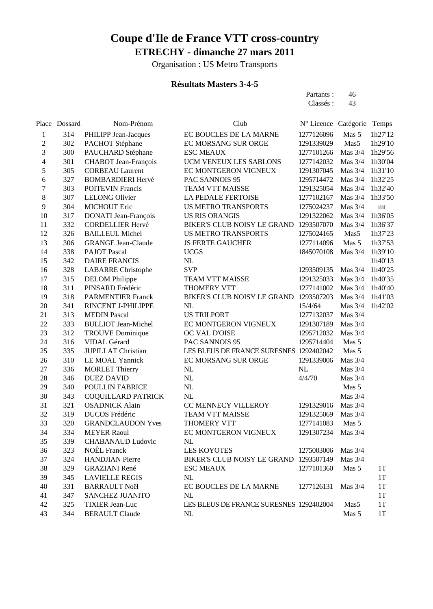Organisation : US Metro Transports

### **Résultats Masters 3-4-5**

| Partants: | 46 |
|-----------|----|
| Classés : | 43 |

|                          | Place Dossard | Nom-Prénom                  | Club                                    | N° Licence Catégorie |           | Temps   |
|--------------------------|---------------|-----------------------------|-----------------------------------------|----------------------|-----------|---------|
| $\mathbf{1}$             | 314           | PHILIPP Jean-Jacques        | EC BOUCLES DE LA MARNE                  | 1277126096           | Mas 5     | 1h27'12 |
| $\overline{\mathbf{c}}$  | 302           | PACHOT Stéphane             | EC MORSANG SUR ORGE                     | 1291339029           | Mas5      | 1h29'10 |
| 3                        | 300           | PAUCHARD Stéphane           | <b>ESC MEAUX</b>                        | 1277101266           | Mas 3/4   | 1h29'56 |
| $\overline{\mathcal{L}}$ | 301           | CHABOT Jean-François        | UCM VENEUX LES SABLONS                  | 1277142032           | Mas 3/4   | 1h30'04 |
| 5                        | 305           | <b>CORBEAU Laurent</b>      | EC MONTGERON VIGNEUX                    | 1291307045           | Mas 3/4   | 1h31'10 |
| 6                        | 327           | <b>BOMBARDIERI Hervé</b>    | PAC SANNOIS 95                          | 1295714472           | Mas 3/4   | 1h32'25 |
| $\boldsymbol{7}$         | 303           | <b>POITEVIN Francis</b>     | TEAM VTT MAISSE                         | 1291325054           | Mas 3/4   | 1h32'40 |
| 8                        | 307           | <b>LELONG Olivier</b>       | LA PEDALE FERTOISE                      | 1277102167           | Mas 3/4   | 1h33'50 |
| 9                        | 304           | <b>MICHOUT Eric</b>         | <b>US METRO TRANSPORTS</b>              | 1275024237           | Mas 3/4   | mt      |
| $10\,$                   | 317           | <b>DONATI</b> Jean-François | <b>US RIS ORANGIS</b>                   | 1291322062           | Mas 3/4   | 1h36'05 |
| 11                       | 332           | <b>CORDELLIER Hervé</b>     | BIKER'S CLUB NOISY LE GRAND             | 1293507070           | Mas 3/4   | 1h36'37 |
| 12                       | 326           | <b>BAILLEUL Michel</b>      | <b>US METRO TRANSPORTS</b>              | 1275024165           | Mas5      | 1h37'23 |
| 13                       | 306           | <b>GRANGE Jean-Claude</b>   | <b>JS FERTE GAUCHER</b>                 | 1277114096           | Mas 5     | 1h37'53 |
| 14                       | 338           | <b>PAJOT</b> Pascal         | <b>UCGS</b>                             | 1845070108           | Mas $3/4$ | 1h39'10 |
| 15                       | 342           | <b>DAIRE FRANCIS</b>        | NL                                      |                      |           | 1h40'13 |
| 16                       | 328           | <b>LABARRE</b> Christophe   | <b>SVP</b>                              | 1293509135           | Mas $3/4$ | 1h40'25 |
| 17                       | 315           | <b>DELOM</b> Philippe       | TEAM VTT MAISSE                         | 1291325033           | Mas $3/4$ | 1h40'35 |
| 18                       | 311           | PINSARD Frédéric            | THOMERY VTT                             | 1277141002           | Mas 3/4   | 1h40'40 |
| 19                       | 318           | <b>PARMENTIER Franck</b>    | BIKER'S CLUB NOISY LE GRAND             | 1293507203           | Mas 3/4   | 1h41'03 |
| 20                       | 341           | RINCENT J-PHILIPPE          | NL                                      | 15/4/64              | Mas 3/4   | 1h42'02 |
| 21                       | 313           | <b>MEDIN</b> Pascal         | <b>US TRILPORT</b>                      | 1277132037           | Mas 3/4   |         |
| 22                       | 333           | <b>BULLIOT</b> Jean-Michel  | EC MONTGERON VIGNEUX                    | 1291307189           | Mas 3/4   |         |
| 23                       | 312           | <b>TROUVE Dominique</b>     | OC VAL D'OISE                           | 1295712032           | Mas 3/4   |         |
| 24                       | 316           | VIDAL Gérard                | PAC SANNOIS 95                          | 1295714404           | Mas 5     |         |
| 25                       | 335           | <b>JUPILLAT</b> Christian   | LES BLEUS DE FRANCE SURESNES 1292402042 |                      | Mas 5     |         |
| 26                       | 310           | LE MOAL Yannick             | EC MORSANG SUR ORGE                     | 1291339006           | Mas 3/4   |         |
| 27                       | 336           | <b>MORLET Thierry</b>       | NL                                      | NL                   | Mas 3/4   |         |
| 28                       | 346           | <b>DUEZ DAVID</b>           | NL                                      | 4/4/70               | Mas 3/4   |         |
| 29                       | 340           | POULLIN FABRICE             | NL                                      |                      | Mas 5     |         |
| 30                       | 343           | COQUILLARD PATRICK          | NL                                      |                      | Mas 3/4   |         |
| 31                       | 321           | <b>OSADNICK Alain</b>       | CC MENNECY VILLEROY                     | 1291329016           | Mas 3/4   |         |
| 32                       | 319           | DUCOS Frédéric              | TEAM VTT MAISSE                         | 1291325069           | Mas 3/4   |         |
| 33                       | 320           | <b>GRANDCLAUDON Yves</b>    | THOMERY VTT                             | 1277141083           | Mas 5     |         |
| 34                       | 334           | <b>MEYER Raoul</b>          | EC MONTGERON VIGNEUX                    | 1291307234           | Mas $3/4$ |         |
| 35                       | 339           | <b>CHABANAUD Ludovic</b>    | NL                                      |                      |           |         |
| 36                       | 323           | <b>NOÊL</b> Franck          | LES KOYOTES                             | 1275003006 Mas 3/4   |           |         |
| 37                       | 324           | <b>HANDJIAN</b> Pierre      | BIKER'S CLUB NOISY LE GRAND 1293507149  |                      | Mas $3/4$ |         |
| 38                       | 329           | <b>GRAZIANI</b> René        | <b>ESC MEAUX</b>                        | 1277101360           | Mas 5     | 1T      |
| 39                       | 345           | <b>LAVIELLE REGIS</b>       | NL                                      |                      |           | 1T      |
| 40                       | 331           | <b>BARRAULT Noël</b>        | EC BOUCLES DE LA MARNE                  | 1277126131           | Mas $3/4$ | 1T      |
| 41                       | 347           | SANCHEZ JUANITO             | NL                                      |                      |           | 1T      |
| 42                       | 325           | <b>TIXIER Jean-Luc</b>      | LES BLEUS DE FRANCE SURESNES 1292402004 |                      | Mas5      | 1T      |
| 43                       | 344           | <b>BERAULT Claude</b>       | NL                                      |                      | Mas 5     | 1T      |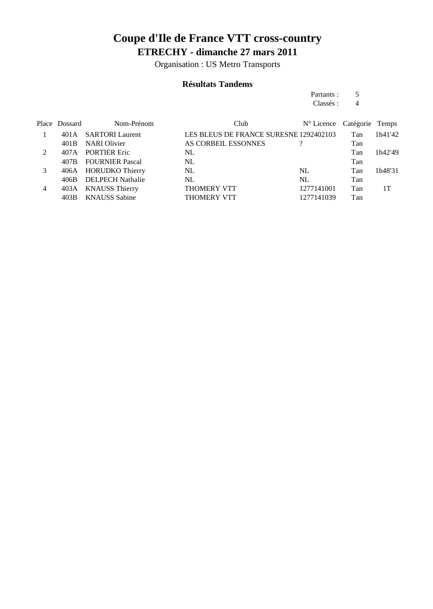Organisation : US Metro Transports

#### **Résultats Tandems**

Partants : 5<br>Classés : 4 Classés : 4

|                | Place Dossard | Nom-Prénom              | Club                                   | N° Licence Catégorie Temps |     |         |
|----------------|---------------|-------------------------|----------------------------------------|----------------------------|-----|---------|
|                | 401 A         | <b>SARTORI</b> Laurent  | LES BLEUS DE FRANCE SURESNE 1292402103 |                            | Tan | 1h41'42 |
|                | 401B          | <b>NARI</b> Olivier     | AS CORBEIL ESSONNES                    |                            | Tan |         |
| 2              | 407A          | <b>PORTIER Eric</b>     | NL                                     |                            | Tan | 1h42'49 |
|                | 407B          | <b>FOURNIER Pascal</b>  | NL                                     |                            | Tan |         |
| 3              |               | 406A HORUDKO Thierry    | NL                                     | NL                         | Tan | 1h48'31 |
|                | 406B          | <b>DELPECH Nathalie</b> | NL.                                    | NL                         | Tan |         |
| $\overline{4}$ | 403A          | <b>KNAUSS Thierry</b>   | <b>THOMERY VTT</b>                     | 1277141001                 | Tan | 1Т      |
|                | 403B          | <b>KNAUSS Sabine</b>    | <b>THOMERY VTT</b>                     | 1277141039                 | Tan |         |
|                |               |                         |                                        |                            |     |         |